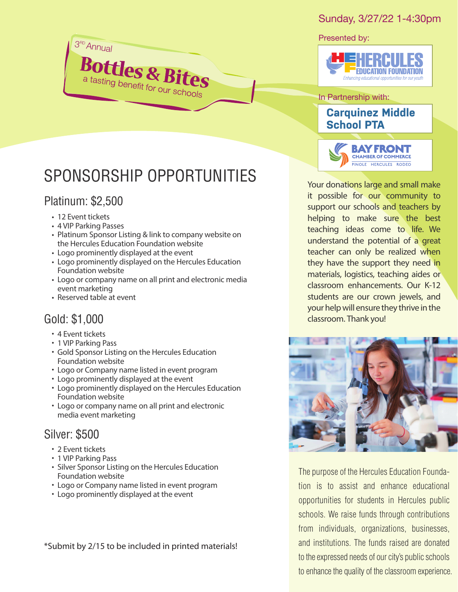#### Sunday, 3/27/22 1-4:30pm

Presented by:



In Partnership with: **Carquinez Middle School PTA**

**BAY FRONT** CHAMBER OF COMMERCE PINOLE HERCULES RODEO

it possible for our community to support our schools and teachers by helping to make sure the best teaching ideas come to life. We understand the potential of a great teacher can only be realized when they have the support they need in materials, logistics, teaching aides or classroom enhancements. Our K-12 students are our crown jewels, and your help will ensure they thrive in the classroom. *Thank you!*



The purpose of the Hercules Education Foundation is to assist and enhance educational opportunities for students in Hercules public schools. We raise funds through contributions from individuals, organizations, businesses, and institutions. The funds raised are donated to the expressed needs of our city's public schools to enhance the quality of the classroom experience.

# SPONSORSHIP OPPORTUNITIES Your donations large and small make

**Bottles & Bites** 

#### Platinum: \$2,500

3<sup>rd</sup> Annual

- 12 Event tickets
- 4 VIP Parking Passes
- Platinum Sponsor Listing & link to company website on the Hercules Education Foundation website
- Logo prominently displayed at the event
- Logo prominently displayed on the Hercules Education Foundation website
- Logo or company name on all print and electronic media event marketing
- Reserved table at event

#### Gold: \$1,000

- 4 Event tickets
- 1 VIP Parking Pass
- Gold Sponsor Listing on the Hercules Education Foundation website
- Logo or Company name listed in event program
- Logo prominently displayed at the event
- Logo prominently displayed on the Hercules Education Foundation website
- Logo or company name on all print and electronic media event marketing

### Silver: \$500

- 2 Event tickets
- 1 VIP Parking Pass
- Silver Sponsor Listing on the Hercules Education Foundation website
- Logo or Company name listed in event program
- Logo prominently displayed at the event

\*Submit by 2/15 to be included in printed materials!